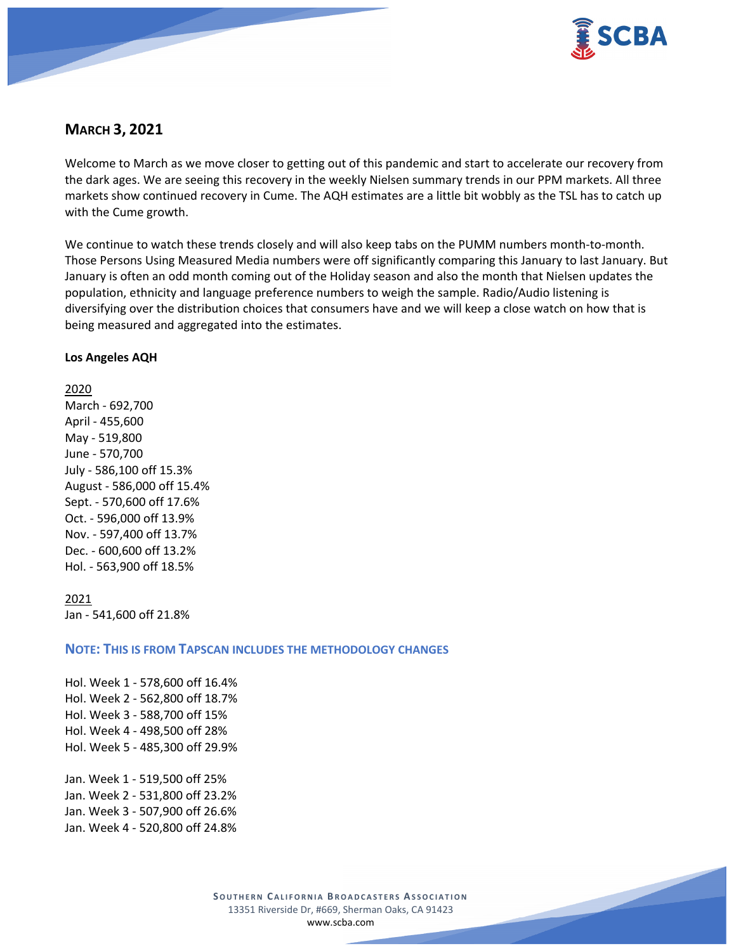

# **MARCH 3, 2021**

Welcome to March as we move closer to getting out of this pandemic and start to accelerate our recovery from the dark ages. We are seeing this recovery in the weekly Nielsen summary trends in our PPM markets. All three markets show continued recovery in Cume. The AQH estimates are a little bit wobbly as the TSL has to catch up with the Cume growth.

We continue to watch these trends closely and will also keep tabs on the PUMM numbers month-to-month. Those Persons Using Measured Media numbers were off significantly comparing this January to last January. But January is often an odd month coming out of the Holiday season and also the month that Nielsen updates the population, ethnicity and language preference numbers to weigh the sample. Radio/Audio listening is diversifying over the distribution choices that consumers have and we will keep a close watch on how that is being measured and aggregated into the estimates.

#### **Los Angeles AQH**

#### 2020

March - 692,700 April - 455,600 May - 519,800 June - 570,700 July - 586,100 off 15.3% August - 586,000 off 15.4% Sept. - 570,600 off 17.6% Oct. - 596,000 off 13.9% Nov. - 597,400 off 13.7% Dec. - 600,600 off 13.2% Hol. - 563,900 off 18.5%

# 2021

Jan - 541,600 off 21.8%

#### **NOTE: THIS IS FROM TAPSCAN INCLUDES THE METHODOLOGY CHANGES**

Hol. Week 1 - 578,600 off 16.4% Hol. Week 2 - 562,800 off 18.7% Hol. Week 3 - 588,700 off 15% Hol. Week 4 - 498,500 off 28% Hol. Week 5 - 485,300 off 29.9% Jan. Week 1 - 519,500 off 25% Jan. Week 2 - 531,800 off 23.2%

Jan. Week 3 - 507,900 off 26.6%

Jan. Week 4 - 520,800 off 24.8%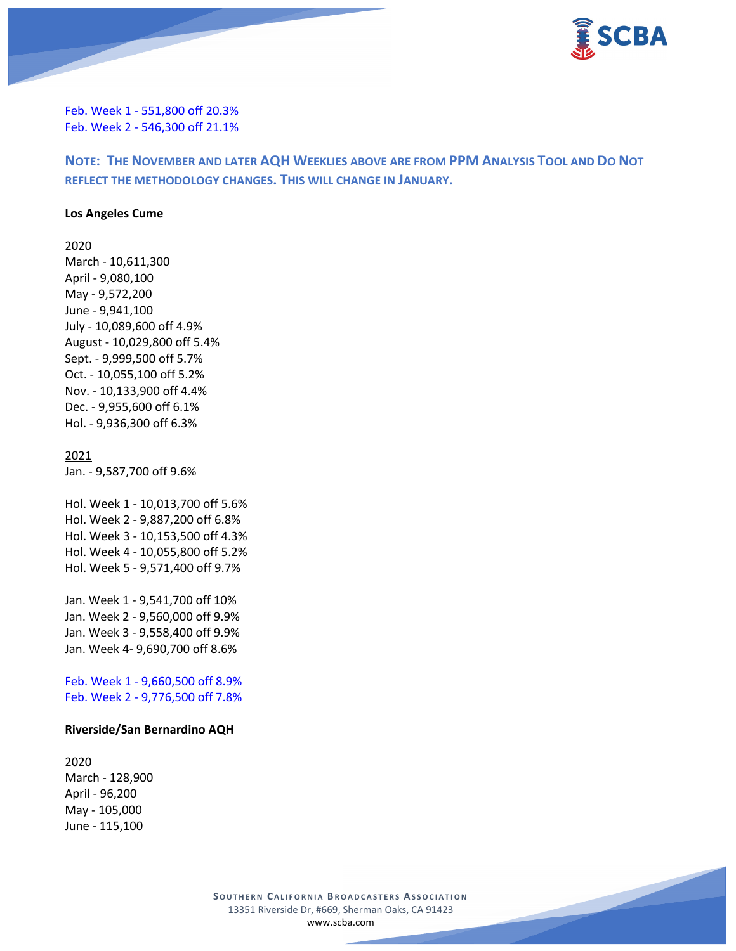

Feb. Week 1 - 551,800 off 20.3% Feb. Week 2 - 546,300 off 21.1%

**NOTE: THE NOVEMBER AND LATER AQH WEEKLIES ABOVE ARE FROM PPM ANALYSIS TOOL AND DO NOT REFLECT THE METHODOLOGY CHANGES. THIS WILL CHANGE IN JANUARY.**

#### **Los Angeles Cume**

2020

March - 10,611,300 April - 9,080,100 May - 9,572,200 June - 9,941,100 July - 10,089,600 off 4.9% August - 10,029,800 off 5.4% Sept. - 9,999,500 off 5.7% Oct. - 10,055,100 off 5.2% Nov. - 10,133,900 off 4.4% Dec. - 9,955,600 off 6.1% Hol. - 9,936,300 off 6.3%

#### 2021

Jan. - 9,587,700 off 9.6%

Hol. Week 1 - 10,013,700 off 5.6% Hol. Week 2 - 9,887,200 off 6.8% Hol. Week 3 - 10,153,500 off 4.3% Hol. Week 4 - 10,055,800 off 5.2% Hol. Week 5 - 9,571,400 off 9.7%

Jan. Week 1 - 9,541,700 off 10% Jan. Week 2 - 9,560,000 off 9.9% Jan. Week 3 - 9,558,400 off 9.9% Jan. Week 4- 9,690,700 off 8.6%

Feb. Week 1 - 9,660,500 off 8.9% Feb. Week 2 - 9,776,500 off 7.8%

#### **Riverside/San Bernardino AQH**

2020 March - 128,900 April - 96,200 May - 105,000 June - 115,100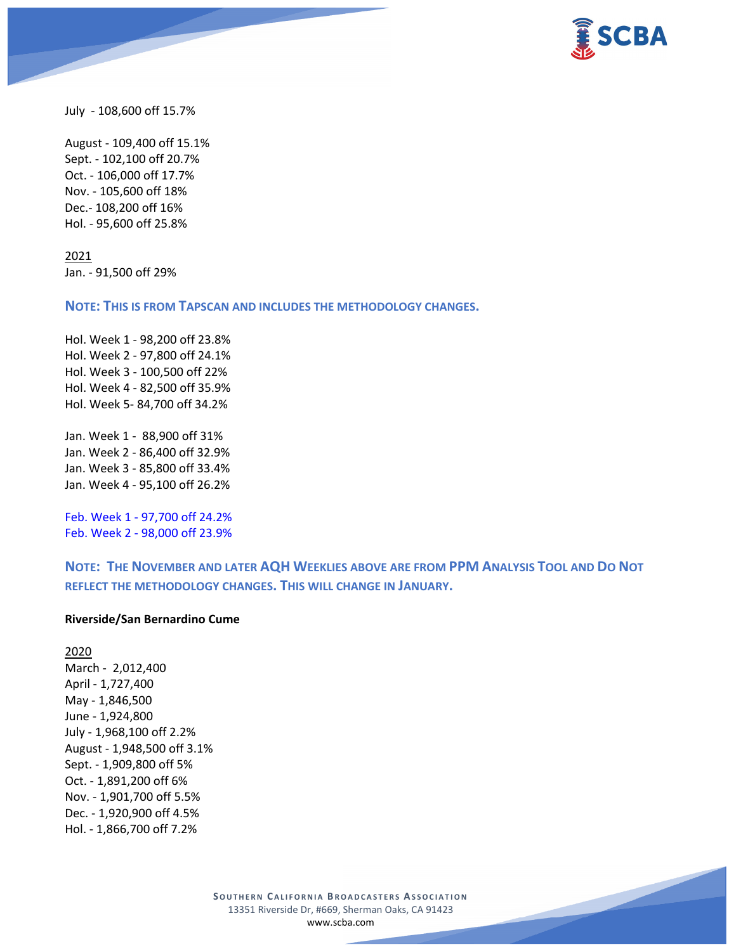

July - 108,600 off 15.7%

August - 109,400 off 15.1% Sept. - 102,100 off 20.7% Oct. - 106,000 off 17.7% Nov. - 105,600 off 18% Dec.- 108,200 off 16% Hol. - 95,600 off 25.8%

2021 Jan. - 91,500 off 29%

**NOTE: THIS IS FROM TAPSCAN AND INCLUDES THE METHODOLOGY CHANGES.** 

Hol. Week 1 - 98,200 off 23.8% Hol. Week 2 - 97,800 off 24.1% Hol. Week 3 - 100,500 off 22% Hol. Week 4 - 82,500 off 35.9% Hol. Week 5- 84,700 off 34.2%

Jan. Week 1 - 88,900 off 31% Jan. Week 2 - 86,400 off 32.9% Jan. Week 3 - 85,800 off 33.4% Jan. Week 4 - 95,100 off 26.2%

Feb. Week 1 - 97,700 off 24.2% Feb. Week 2 - 98,000 off 23.9%

**NOTE: THE NOVEMBER AND LATER AQH WEEKLIES ABOVE ARE FROM PPM ANALYSIS TOOL AND DO NOT REFLECT THE METHODOLOGY CHANGES. THIS WILL CHANGE IN JANUARY.**

#### **Riverside/San Bernardino Cume**

2020 March - 2,012,400 April - 1,727,400 May - 1,846,500 June - 1,924,800 July - 1,968,100 off 2.2% August - 1,948,500 off 3.1% Sept. - 1,909,800 off 5% Oct. - 1,891,200 off 6% Nov. - 1,901,700 off 5.5% Dec. - 1,920,900 off 4.5% Hol. - 1,866,700 off 7.2%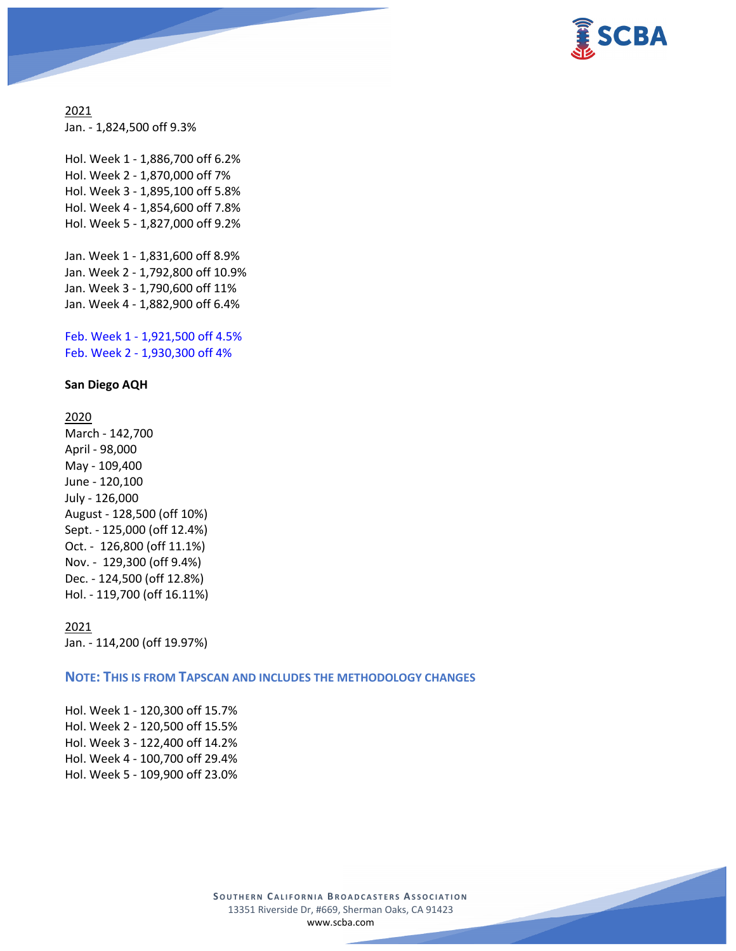

2021 Jan. - 1,824,500 off 9.3%

Hol. Week 1 - 1,886,700 off 6.2% Hol. Week 2 - 1,870,000 off 7% Hol. Week 3 - 1,895,100 off 5.8% Hol. Week 4 - 1,854,600 off 7.8% Hol. Week 5 - 1,827,000 off 9.2%

Jan. Week 1 - 1,831,600 off 8.9% Jan. Week 2 - 1,792,800 off 10.9% Jan. Week 3 - 1,790,600 off 11% Jan. Week 4 - 1,882,900 off 6.4%

Feb. Week 1 - 1,921,500 off 4.5% Feb. Week 2 - 1,930,300 off 4%

#### **San Diego AQH**

2020 March - 142,700 April - 98,000 May - 109,400 June - 120,100 July - 126,000 August - 128,500 (off 10%) Sept. - 125,000 (off 12.4%) Oct. - 126,800 (off 11.1%) Nov. - 129,300 (off 9.4%) Dec. - 124,500 (off 12.8%) Hol. - 119,700 (off 16.11%)

2021

Jan. - 114,200 (off 19.97%)

**NOTE: THIS IS FROM TAPSCAN AND INCLUDES THE METHODOLOGY CHANGES** 

Hol. Week 1 - 120,300 off 15.7% Hol. Week 2 - 120,500 off 15.5% Hol. Week 3 - 122,400 off 14.2% Hol. Week 4 - 100,700 off 29.4% Hol. Week 5 - 109,900 off 23.0%

> **SOUTHERN CALIFORNIA BROADCASTERS ASSOCIATION** 13351 Riverside Dr, #669, Sherman Oaks, CA 91423 [www.scba.com](http://www.scba.com/)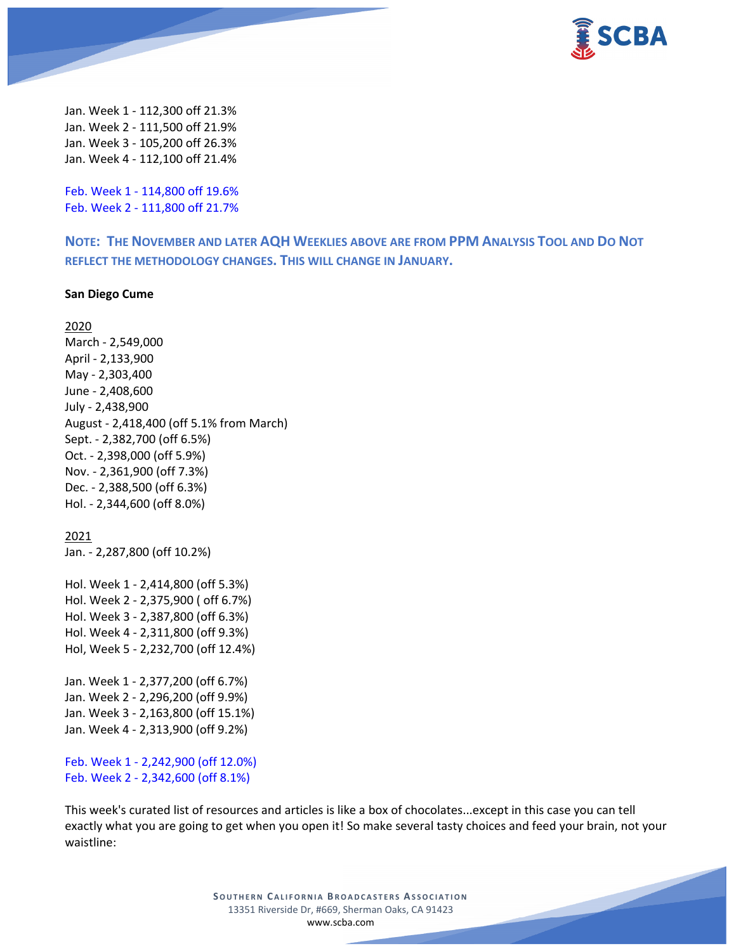

Jan. Week 1 - 112,300 off 21.3% Jan. Week 2 - 111,500 off 21.9% Jan. Week 3 - 105,200 off 26.3% Jan. Week 4 - 112,100 off 21.4%

Feb. Week 1 - 114,800 off 19.6% Feb. Week 2 - 111,800 off 21.7%

**NOTE: THE NOVEMBER AND LATER AQH WEEKLIES ABOVE ARE FROM PPM ANALYSIS TOOL AND DO NOT REFLECT THE METHODOLOGY CHANGES. THIS WILL CHANGE IN JANUARY.**

#### **San Diego Cume**

2020 March - 2,549,000 April - 2,133,900 May - 2,303,400 June - 2,408,600 July - 2,438,900 August - 2,418,400 (off 5.1% from March) Sept. - 2,382,700 (off 6.5%) Oct. - 2,398,000 (off 5.9%) Nov. - 2,361,900 (off 7.3%) Dec. - 2,388,500 (off 6.3%) Hol. - 2,344,600 (off 8.0%)

#### 2021

Jan. - 2,287,800 (off 10.2%)

Hol. Week 1 - 2,414,800 (off 5.3%) Hol. Week 2 - 2,375,900 ( off 6.7%) Hol. Week 3 - 2,387,800 (off 6.3%) Hol. Week 4 - 2,311,800 (off 9.3%) Hol, Week 5 - 2,232,700 (off 12.4%)

Jan. Week 1 - 2,377,200 (off 6.7%) Jan. Week 2 - 2,296,200 (off 9.9%) Jan. Week 3 - 2,163,800 (off 15.1%) Jan. Week 4 - 2,313,900 (off 9.2%)

Feb. Week 1 - 2,242,900 (off 12.0%) Feb. Week 2 - 2,342,600 (off 8.1%)

This week's curated list of resources and articles is like a box of chocolates...except in this case you can tell exactly what you are going to get when you open it! So make several tasty choices and feed your brain, not your waistline:

> **SOUTHERN CALIFORNIA BROADCASTERS ASSOCIATION** 13351 Riverside Dr, #669, Sherman Oaks, CA 91423 [www.scba.com](http://www.scba.com/)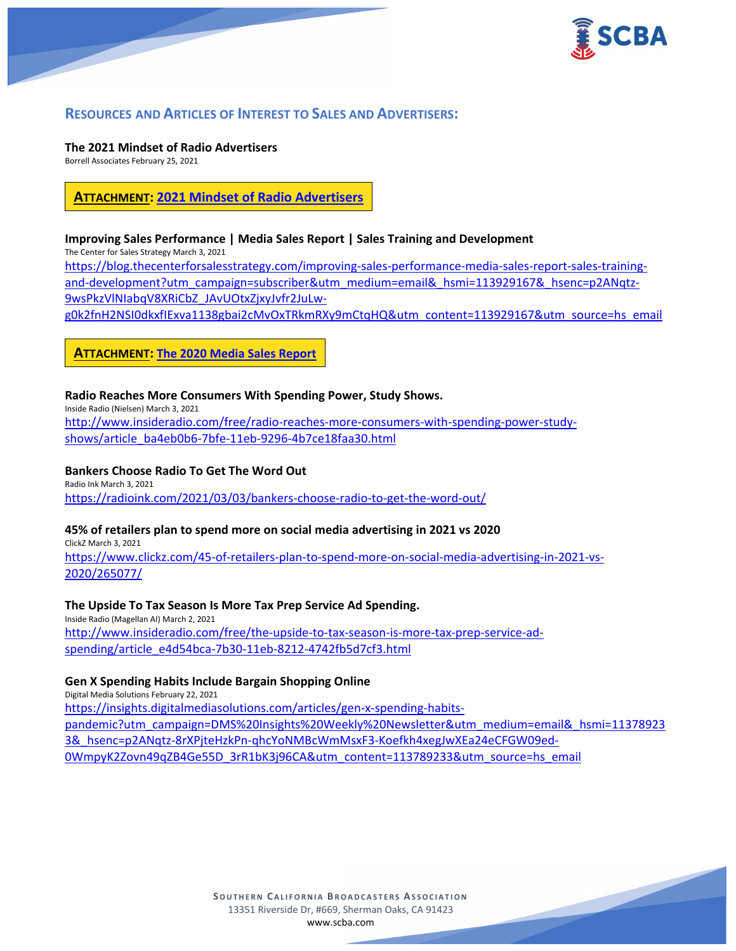

# **RESOURCES AND ARTICLES OF INTEREST TO SALES AND ADVERTISERS:**

**The 2021 Mindset of Radio Advertisers**

Borrell Associates February 25, 2021

# **ATTACHMENT: [2021 Mindset of Radio Advertisers](https://scba.com/execsum_borrell_radiobuyers_feb_25_2021/)**

#### **Improving Sales Performance | Media Sales Report | Sales Training and Development**

The Center for Sales Strategy March 3, 2021 [https://blog.thecenterforsalesstrategy.com/improving-sales-performance-media-sales-report-sales-training](https://blog.thecenterforsalesstrategy.com/improving-sales-performance-media-sales-report-sales-training-and-development?utm_campaign=subscriber&utm_medium=email&_hsmi=113929167&_hsenc=p2ANqtz-9wsPkzVlNIabqV8XRiCbZ_JAvUOtxZjxyJvfr2JuLw-g0k2fnH2NSI0dkxfIExva1138gbai2cMvOxTRkmRXy9mCtqHQ&utm_content=113929167&utm_source=hs_email)[and-development?utm\\_campaign=subscriber&utm\\_medium=email&\\_hsmi=113929167&\\_hsenc=p2ANqtz-](https://blog.thecenterforsalesstrategy.com/improving-sales-performance-media-sales-report-sales-training-and-development?utm_campaign=subscriber&utm_medium=email&_hsmi=113929167&_hsenc=p2ANqtz-9wsPkzVlNIabqV8XRiCbZ_JAvUOtxZjxyJvfr2JuLw-g0k2fnH2NSI0dkxfIExva1138gbai2cMvOxTRkmRXy9mCtqHQ&utm_content=113929167&utm_source=hs_email)[9wsPkzVlNIabqV8XRiCbZ\\_JAvUOtxZjxyJvfr2JuLw-](https://blog.thecenterforsalesstrategy.com/improving-sales-performance-media-sales-report-sales-training-and-development?utm_campaign=subscriber&utm_medium=email&_hsmi=113929167&_hsenc=p2ANqtz-9wsPkzVlNIabqV8XRiCbZ_JAvUOtxZjxyJvfr2JuLw-g0k2fnH2NSI0dkxfIExva1138gbai2cMvOxTRkmRXy9mCtqHQ&utm_content=113929167&utm_source=hs_email)

[g0k2fnH2NSI0dkxfIExva1138gbai2cMvOxTRkmRXy9mCtqHQ&utm\\_content=113929167&utm\\_source=hs\\_email](https://blog.thecenterforsalesstrategy.com/improving-sales-performance-media-sales-report-sales-training-and-development?utm_campaign=subscriber&utm_medium=email&_hsmi=113929167&_hsenc=p2ANqtz-9wsPkzVlNIabqV8XRiCbZ_JAvUOtxZjxyJvfr2JuLw-g0k2fnH2NSI0dkxfIExva1138gbai2cMvOxTRkmRXy9mCtqHQ&utm_content=113929167&utm_source=hs_email)

**ATTACHMENT: [The 2020 Media Sales Report](https://scba.com/the-2020-media-sales-report-2/)**

# **Radio Reaches More Consumers With Spending Power, Study Shows.**

Inside Radio (Nielsen) March 3, 2021 [http://www.insideradio.com/free/radio-reaches-more-consumers-with-spending-power-study](http://www.insideradio.com/free/radio-reaches-more-consumers-with-spending-power-study-shows/article_ba4eb0b6-7bfe-11eb-9296-4b7ce18faa30.html)[shows/article\\_ba4eb0b6-7bfe-11eb-9296-4b7ce18faa30.html](http://www.insideradio.com/free/radio-reaches-more-consumers-with-spending-power-study-shows/article_ba4eb0b6-7bfe-11eb-9296-4b7ce18faa30.html)

# **Bankers Choose Radio To Get The Word Out**

Radio Ink March 3, 2021 <https://radioink.com/2021/03/03/bankers-choose-radio-to-get-the-word-out/>

# **45% of retailers plan to spend more on social media advertising in 2021 vs 2020**

ClickZ March 3, 2021 [https://www.clickz.com/45-of-retailers-plan-to-spend-more-on-social-media-advertising-in-2021-vs-](https://www.clickz.com/45-of-retailers-plan-to-spend-more-on-social-media-advertising-in-2021-vs-2020/265077/)[2020/265077/](https://www.clickz.com/45-of-retailers-plan-to-spend-more-on-social-media-advertising-in-2021-vs-2020/265077/)

# **The Upside To Tax Season Is More Tax Prep Service Ad Spending.**

Inside Radio (Magellan AI) March 2, 2021 [http://www.insideradio.com/free/the-upside-to-tax-season-is-more-tax-prep-service-ad](http://www.insideradio.com/free/the-upside-to-tax-season-is-more-tax-prep-service-ad-spending/article_e4d54bca-7b30-11eb-8212-4742fb5d7cf3.html)[spending/article\\_e4d54bca-7b30-11eb-8212-4742fb5d7cf3.html](http://www.insideradio.com/free/the-upside-to-tax-season-is-more-tax-prep-service-ad-spending/article_e4d54bca-7b30-11eb-8212-4742fb5d7cf3.html)

# **Gen X Spending Habits Include Bargain Shopping Online**

Digital Media Solutions February 22, 2021

[https://insights.digitalmediasolutions.com/articles/gen-x-spending-habits-](https://insights.digitalmediasolutions.com/articles/gen-x-spending-habits-pandemic?utm_campaign=DMS%20Insights%20Weekly%20Newsletter&utm_medium=email&_hsmi=113789233&_hsenc=p2ANqtz-8rXPjteHzkPn-qhcYoNMBcWmMsxF3-Koefkh4xegJwXEa24eCFGW09ed-0WmpyK2Zovn49qZB4Ge55D_3rR1bK3j96CA&utm_content=113789233&utm_source=hs_email)

[pandemic?utm\\_campaign=DMS%20Insights%20Weekly%20Newsletter&utm\\_medium=email&\\_hsmi=11378923](https://insights.digitalmediasolutions.com/articles/gen-x-spending-habits-pandemic?utm_campaign=DMS%20Insights%20Weekly%20Newsletter&utm_medium=email&_hsmi=113789233&_hsenc=p2ANqtz-8rXPjteHzkPn-qhcYoNMBcWmMsxF3-Koefkh4xegJwXEa24eCFGW09ed-0WmpyK2Zovn49qZB4Ge55D_3rR1bK3j96CA&utm_content=113789233&utm_source=hs_email) [3&\\_hsenc=p2ANqtz-8rXPjteHzkPn-qhcYoNMBcWmMsxF3-Koefkh4xegJwXEa24eCFGW09ed-](https://insights.digitalmediasolutions.com/articles/gen-x-spending-habits-pandemic?utm_campaign=DMS%20Insights%20Weekly%20Newsletter&utm_medium=email&_hsmi=113789233&_hsenc=p2ANqtz-8rXPjteHzkPn-qhcYoNMBcWmMsxF3-Koefkh4xegJwXEa24eCFGW09ed-0WmpyK2Zovn49qZB4Ge55D_3rR1bK3j96CA&utm_content=113789233&utm_source=hs_email)

[0WmpyK2Zovn49qZB4Ge55D\\_3rR1bK3j96CA&utm\\_content=113789233&utm\\_source=hs\\_email](https://insights.digitalmediasolutions.com/articles/gen-x-spending-habits-pandemic?utm_campaign=DMS%20Insights%20Weekly%20Newsletter&utm_medium=email&_hsmi=113789233&_hsenc=p2ANqtz-8rXPjteHzkPn-qhcYoNMBcWmMsxF3-Koefkh4xegJwXEa24eCFGW09ed-0WmpyK2Zovn49qZB4Ge55D_3rR1bK3j96CA&utm_content=113789233&utm_source=hs_email)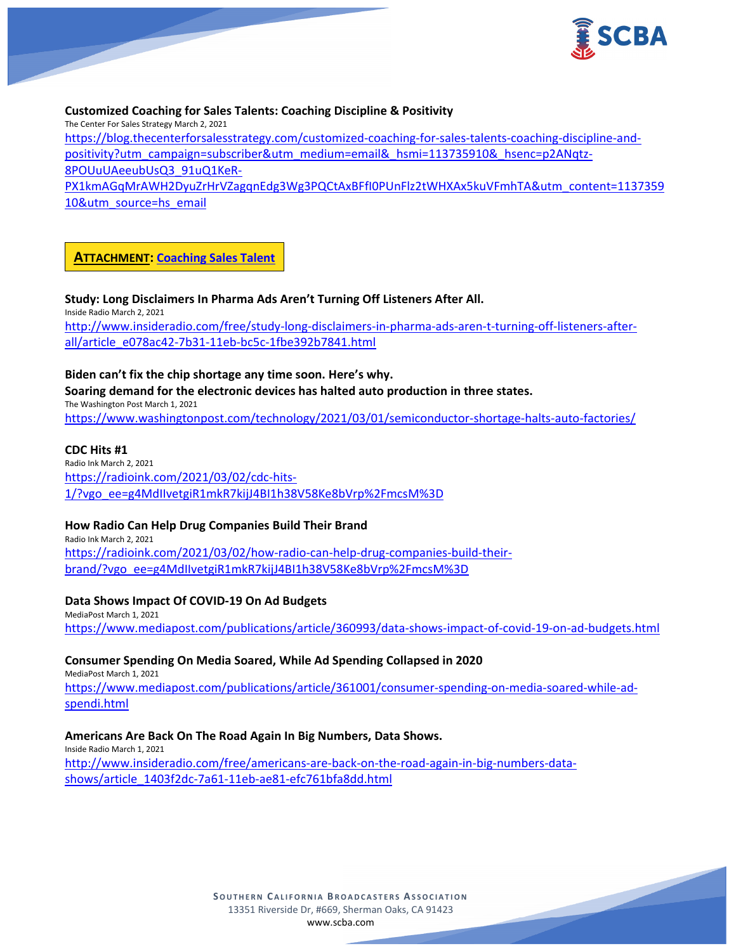

#### **Customized Coaching for Sales Talents: Coaching Discipline & Positivity**

The Center For Sales Strategy March 2, 2021 [https://blog.thecenterforsalesstrategy.com/customized-coaching-for-sales-talents-coaching-discipline-and](https://blog.thecenterforsalesstrategy.com/customized-coaching-for-sales-talents-coaching-discipline-and-positivity?utm_campaign=subscriber&utm_medium=email&_hsmi=113735910&_hsenc=p2ANqtz-8POUuUAeeubUsQ3_91uQ1KeR-PX1kmAGqMrAWH2DyuZrHrVZagqnEdg3Wg3PQCtAxBFfI0PUnFlz2tWHXAx5kuVFmhTA&utm_content=113735910&utm_source=hs_email)[positivity?utm\\_campaign=subscriber&utm\\_medium=email&\\_hsmi=113735910&\\_hsenc=p2ANqtz-](https://blog.thecenterforsalesstrategy.com/customized-coaching-for-sales-talents-coaching-discipline-and-positivity?utm_campaign=subscriber&utm_medium=email&_hsmi=113735910&_hsenc=p2ANqtz-8POUuUAeeubUsQ3_91uQ1KeR-PX1kmAGqMrAWH2DyuZrHrVZagqnEdg3Wg3PQCtAxBFfI0PUnFlz2tWHXAx5kuVFmhTA&utm_content=113735910&utm_source=hs_email)[8POUuUAeeubUsQ3\\_91uQ1KeR-](https://blog.thecenterforsalesstrategy.com/customized-coaching-for-sales-talents-coaching-discipline-and-positivity?utm_campaign=subscriber&utm_medium=email&_hsmi=113735910&_hsenc=p2ANqtz-8POUuUAeeubUsQ3_91uQ1KeR-PX1kmAGqMrAWH2DyuZrHrVZagqnEdg3Wg3PQCtAxBFfI0PUnFlz2tWHXAx5kuVFmhTA&utm_content=113735910&utm_source=hs_email)

[PX1kmAGqMrAWH2DyuZrHrVZagqnEdg3Wg3PQCtAxBFfI0PUnFlz2tWHXAx5kuVFmhTA&utm\\_content=1137359](https://blog.thecenterforsalesstrategy.com/customized-coaching-for-sales-talents-coaching-discipline-and-positivity?utm_campaign=subscriber&utm_medium=email&_hsmi=113735910&_hsenc=p2ANqtz-8POUuUAeeubUsQ3_91uQ1KeR-PX1kmAGqMrAWH2DyuZrHrVZagqnEdg3Wg3PQCtAxBFfI0PUnFlz2tWHXAx5kuVFmhTA&utm_content=113735910&utm_source=hs_email) [10&utm\\_source=hs\\_email](https://blog.thecenterforsalesstrategy.com/customized-coaching-for-sales-talents-coaching-discipline-and-positivity?utm_campaign=subscriber&utm_medium=email&_hsmi=113735910&_hsenc=p2ANqtz-8POUuUAeeubUsQ3_91uQ1KeR-PX1kmAGqMrAWH2DyuZrHrVZagqnEdg3Wg3PQCtAxBFfI0PUnFlz2tWHXAx5kuVFmhTA&utm_content=113735910&utm_source=hs_email)

# **ATTACHMENT: [Coaching Sales Talent](https://scba.com/coaching-sales-talent-2/)**

**Study: Long Disclaimers In Pharma Ads Aren't Turning Off Listeners After All.** Inside Radio March 2, 2021 [http://www.insideradio.com/free/study-long-disclaimers-in-pharma-ads-aren-t-turning-off-listeners-after](http://www.insideradio.com/free/study-long-disclaimers-in-pharma-ads-aren-t-turning-off-listeners-after-all/article_e078ac42-7b31-11eb-bc5c-1fbe392b7841.html)[all/article\\_e078ac42-7b31-11eb-bc5c-1fbe392b7841.html](http://www.insideradio.com/free/study-long-disclaimers-in-pharma-ads-aren-t-turning-off-listeners-after-all/article_e078ac42-7b31-11eb-bc5c-1fbe392b7841.html)

#### **Biden can't fix the chip shortage any time soon. Here's why.**

**Soaring demand for the electronic devices has halted auto production in three states.** The Washington Post March 1, 2021 <https://www.washingtonpost.com/technology/2021/03/01/semiconductor-shortage-halts-auto-factories/>

#### **CDC Hits #1**

Radio Ink March 2, 2021 [https://radioink.com/2021/03/02/cdc-hits-](https://radioink.com/2021/03/02/cdc-hits-1/?vgo_ee=g4MdIIvetgiR1mkR7kijJ4BI1h38V58Ke8bVrp%2FmcsM%3D)[1/?vgo\\_ee=g4MdIIvetgiR1mkR7kijJ4BI1h38V58Ke8bVrp%2FmcsM%3D](https://radioink.com/2021/03/02/cdc-hits-1/?vgo_ee=g4MdIIvetgiR1mkR7kijJ4BI1h38V58Ke8bVrp%2FmcsM%3D)

#### **How Radio Can Help Drug Companies Build Their Brand**

Radio Ink March 2, 2021 [https://radioink.com/2021/03/02/how-radio-can-help-drug-companies-build-their](https://radioink.com/2021/03/02/how-radio-can-help-drug-companies-build-their-brand/?vgo_ee=g4MdIIvetgiR1mkR7kijJ4BI1h38V58Ke8bVrp%2FmcsM%3D)[brand/?vgo\\_ee=g4MdIIvetgiR1mkR7kijJ4BI1h38V58Ke8bVrp%2FmcsM%3D](https://radioink.com/2021/03/02/how-radio-can-help-drug-companies-build-their-brand/?vgo_ee=g4MdIIvetgiR1mkR7kijJ4BI1h38V58Ke8bVrp%2FmcsM%3D)

#### **Data Shows Impact Of COVID-19 On Ad Budgets**

MediaPost March 1, 2021 <https://www.mediapost.com/publications/article/360993/data-shows-impact-of-covid-19-on-ad-budgets.html>

#### **Consumer Spending On Media Soared, While Ad Spending Collapsed in 2020**

MediaPost March 1, 2021 [https://www.mediapost.com/publications/article/361001/consumer-spending-on-media-soared-while-ad](https://www.mediapost.com/publications/article/361001/consumer-spending-on-media-soared-while-ad-spendi.html)[spendi.html](https://www.mediapost.com/publications/article/361001/consumer-spending-on-media-soared-while-ad-spendi.html)

#### **Americans Are Back On The Road Again In Big Numbers, Data Shows.**

Inside Radio March 1, 2021 [http://www.insideradio.com/free/americans-are-back-on-the-road-again-in-big-numbers-data](http://www.insideradio.com/free/americans-are-back-on-the-road-again-in-big-numbers-data-shows/article_1403f2dc-7a61-11eb-ae81-efc761bfa8dd.html)[shows/article\\_1403f2dc-7a61-11eb-ae81-efc761bfa8dd.html](http://www.insideradio.com/free/americans-are-back-on-the-road-again-in-big-numbers-data-shows/article_1403f2dc-7a61-11eb-ae81-efc761bfa8dd.html)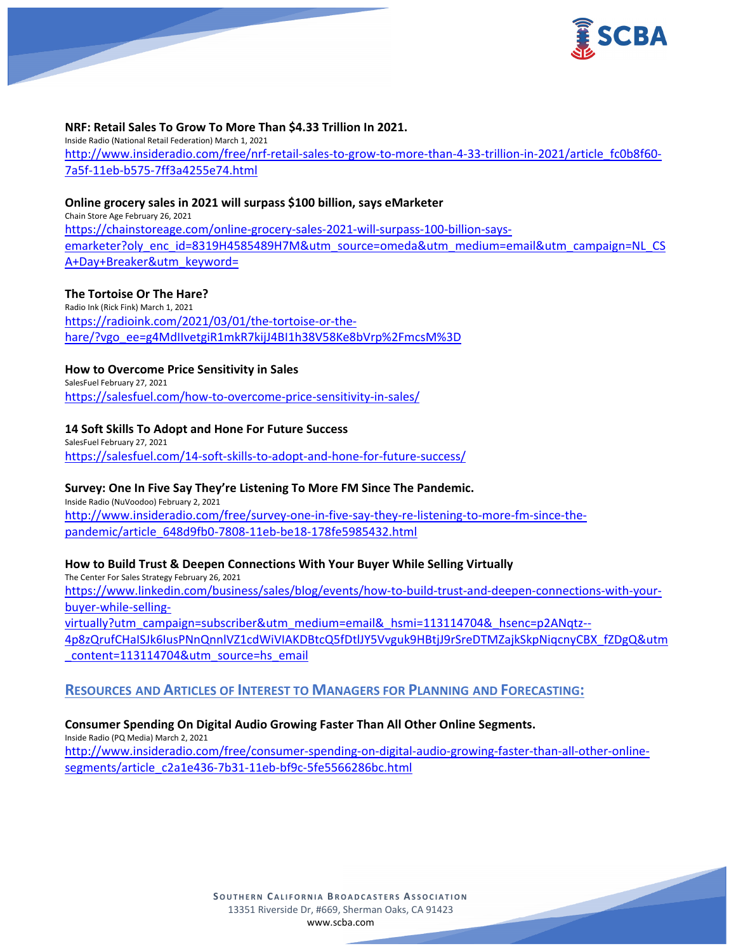

#### **NRF: Retail Sales To Grow To More Than \$4.33 Trillion In 2021.**

Inside Radio (National Retail Federation) March 1, 2021 [http://www.insideradio.com/free/nrf-retail-sales-to-grow-to-more-than-4-33-trillion-in-2021/article\\_fc0b8f60-](http://www.insideradio.com/free/nrf-retail-sales-to-grow-to-more-than-4-33-trillion-in-2021/article_fc0b8f60-7a5f-11eb-b575-7ff3a4255e74.html) [7a5f-11eb-b575-7ff3a4255e74.html](http://www.insideradio.com/free/nrf-retail-sales-to-grow-to-more-than-4-33-trillion-in-2021/article_fc0b8f60-7a5f-11eb-b575-7ff3a4255e74.html)

#### **Online grocery sales in 2021 will surpass \$100 billion, says eMarketer**

Chain Store Age February 26, 2021 [https://chainstoreage.com/online-grocery-sales-2021-will-surpass-100-billion-says](https://chainstoreage.com/online-grocery-sales-2021-will-surpass-100-billion-says-emarketer?oly_enc_id=8319H4585489H7M&utm_source=omeda&utm_medium=email&utm_campaign=NL_CSA+Day+Breaker&utm_keyword=)[emarketer?oly\\_enc\\_id=8319H4585489H7M&utm\\_source=omeda&utm\\_medium=email&utm\\_campaign=NL\\_CS](https://chainstoreage.com/online-grocery-sales-2021-will-surpass-100-billion-says-emarketer?oly_enc_id=8319H4585489H7M&utm_source=omeda&utm_medium=email&utm_campaign=NL_CSA+Day+Breaker&utm_keyword=) [A+Day+Breaker&utm\\_keyword=](https://chainstoreage.com/online-grocery-sales-2021-will-surpass-100-billion-says-emarketer?oly_enc_id=8319H4585489H7M&utm_source=omeda&utm_medium=email&utm_campaign=NL_CSA+Day+Breaker&utm_keyword=)

# **The Tortoise Or The Hare?**

Radio Ink (Rick Fink) March 1, 2021 [https://radioink.com/2021/03/01/the-tortoise-or-the](https://radioink.com/2021/03/01/the-tortoise-or-the-hare/?vgo_ee=g4MdIIvetgiR1mkR7kijJ4BI1h38V58Ke8bVrp%2FmcsM%3D)[hare/?vgo\\_ee=g4MdIIvetgiR1mkR7kijJ4BI1h38V58Ke8bVrp%2FmcsM%3D](https://radioink.com/2021/03/01/the-tortoise-or-the-hare/?vgo_ee=g4MdIIvetgiR1mkR7kijJ4BI1h38V58Ke8bVrp%2FmcsM%3D)

#### **How to Overcome Price Sensitivity in Sales**

SalesFuel February 27, 2021 <https://salesfuel.com/how-to-overcome-price-sensitivity-in-sales/>

#### **14 Soft Skills To Adopt and Hone For Future Success**

SalesFuel February 27, 2021 <https://salesfuel.com/14-soft-skills-to-adopt-and-hone-for-future-success/>

#### **Survey: One In Five Say They're Listening To More FM Since The Pandemic.**

Inside Radio (NuVoodoo) February 2, 2021 [http://www.insideradio.com/free/survey-one-in-five-say-they-re-listening-to-more-fm-since-the](http://www.insideradio.com/free/survey-one-in-five-say-they-re-listening-to-more-fm-since-the-pandemic/article_648d9fb0-7808-11eb-be18-178fe5985432.html)[pandemic/article\\_648d9fb0-7808-11eb-be18-178fe5985432.html](http://www.insideradio.com/free/survey-one-in-five-say-they-re-listening-to-more-fm-since-the-pandemic/article_648d9fb0-7808-11eb-be18-178fe5985432.html)

#### **How to Build Trust & Deepen Connections With Your Buyer While Selling Virtually**

The Center For Sales Strategy February 26, 2021 [https://www.linkedin.com/business/sales/blog/events/how-to-build-trust-and-deepen-connections-with-your](https://www.linkedin.com/business/sales/blog/events/how-to-build-trust-and-deepen-connections-with-your-buyer-while-selling-virtually?utm_campaign=subscriber&utm_medium=email&_hsmi=113114704&_hsenc=p2ANqtz--4p8zQrufCHaISJk6IusPNnQnnlVZ1cdWiVIAKDBtcQ5fDtlJY5Vvguk9HBtjJ9rSreDTMZajkSkpNiqcnyCBX_fZDgQ&utm_content=113114704&utm_source=hs_email)[buyer-while-selling](https://www.linkedin.com/business/sales/blog/events/how-to-build-trust-and-deepen-connections-with-your-buyer-while-selling-virtually?utm_campaign=subscriber&utm_medium=email&_hsmi=113114704&_hsenc=p2ANqtz--4p8zQrufCHaISJk6IusPNnQnnlVZ1cdWiVIAKDBtcQ5fDtlJY5Vvguk9HBtjJ9rSreDTMZajkSkpNiqcnyCBX_fZDgQ&utm_content=113114704&utm_source=hs_email)[virtually?utm\\_campaign=subscriber&utm\\_medium=email&\\_hsmi=113114704&\\_hsenc=p2ANqtz--](https://www.linkedin.com/business/sales/blog/events/how-to-build-trust-and-deepen-connections-with-your-buyer-while-selling-virtually?utm_campaign=subscriber&utm_medium=email&_hsmi=113114704&_hsenc=p2ANqtz--4p8zQrufCHaISJk6IusPNnQnnlVZ1cdWiVIAKDBtcQ5fDtlJY5Vvguk9HBtjJ9rSreDTMZajkSkpNiqcnyCBX_fZDgQ&utm_content=113114704&utm_source=hs_email) [4p8zQrufCHaISJk6IusPNnQnnlVZ1cdWiVIAKDBtcQ5fDtlJY5Vvguk9HBtjJ9rSreDTMZajkSkpNiqcnyCBX\\_fZDgQ&utm](https://www.linkedin.com/business/sales/blog/events/how-to-build-trust-and-deepen-connections-with-your-buyer-while-selling-virtually?utm_campaign=subscriber&utm_medium=email&_hsmi=113114704&_hsenc=p2ANqtz--4p8zQrufCHaISJk6IusPNnQnnlVZ1cdWiVIAKDBtcQ5fDtlJY5Vvguk9HBtjJ9rSreDTMZajkSkpNiqcnyCBX_fZDgQ&utm_content=113114704&utm_source=hs_email) [\\_content=113114704&utm\\_source=hs\\_email](https://www.linkedin.com/business/sales/blog/events/how-to-build-trust-and-deepen-connections-with-your-buyer-while-selling-virtually?utm_campaign=subscriber&utm_medium=email&_hsmi=113114704&_hsenc=p2ANqtz--4p8zQrufCHaISJk6IusPNnQnnlVZ1cdWiVIAKDBtcQ5fDtlJY5Vvguk9HBtjJ9rSreDTMZajkSkpNiqcnyCBX_fZDgQ&utm_content=113114704&utm_source=hs_email)

# **RESOURCES AND ARTICLES OF INTEREST TO MANAGERS FOR PLANNING AND FORECASTING:**

#### **Consumer Spending On Digital Audio Growing Faster Than All Other Online Segments.**

Inside Radio (PQ Media) March 2, 2021

[http://www.insideradio.com/free/consumer-spending-on-digital-audio-growing-faster-than-all-other-online](http://www.insideradio.com/free/consumer-spending-on-digital-audio-growing-faster-than-all-other-online-segments/article_c2a1e436-7b31-11eb-bf9c-5fe5566286bc.html)[segments/article\\_c2a1e436-7b31-11eb-bf9c-5fe5566286bc.html](http://www.insideradio.com/free/consumer-spending-on-digital-audio-growing-faster-than-all-other-online-segments/article_c2a1e436-7b31-11eb-bf9c-5fe5566286bc.html)

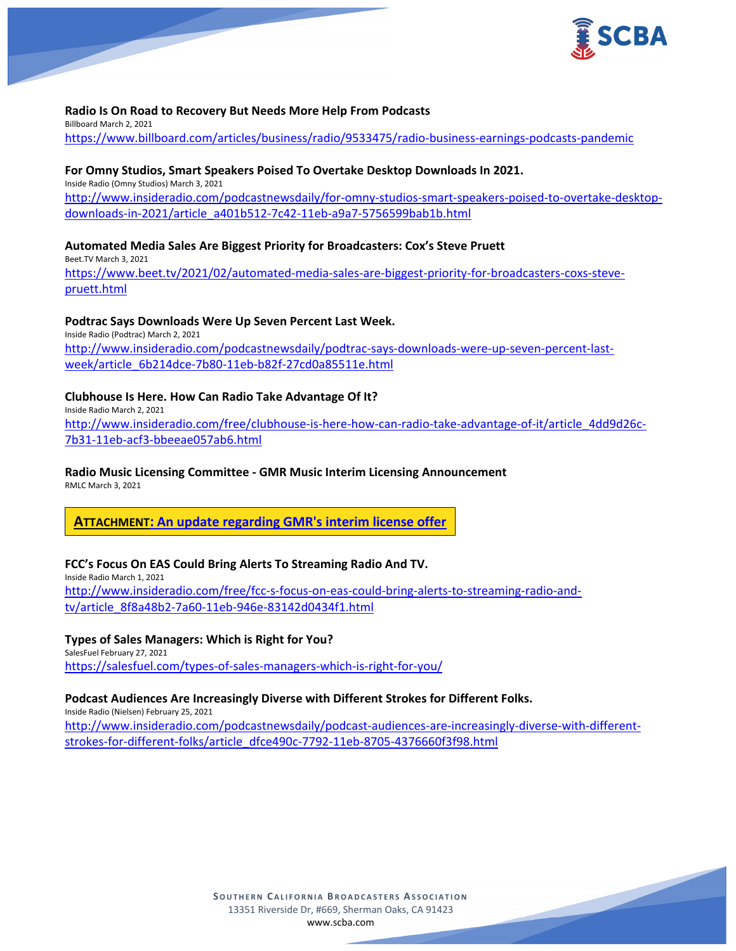

#### **Radio Is On Road to Recovery But Needs More Help From Podcasts** Billboard March 2, 2021

<https://www.billboard.com/articles/business/radio/9533475/radio-business-earnings-podcasts-pandemic>

#### **For Omny Studios, Smart Speakers Poised To Overtake Desktop Downloads In 2021.**

Inside Radio (Omny Studios) March 3, 2021 [http://www.insideradio.com/podcastnewsdaily/for-omny-studios-smart-speakers-poised-to-overtake-desktop](http://www.insideradio.com/podcastnewsdaily/for-omny-studios-smart-speakers-poised-to-overtake-desktop-downloads-in-2021/article_a401b512-7c42-11eb-a9a7-5756599bab1b.html)[downloads-in-2021/article\\_a401b512-7c42-11eb-a9a7-5756599bab1b.html](http://www.insideradio.com/podcastnewsdaily/for-omny-studios-smart-speakers-poised-to-overtake-desktop-downloads-in-2021/article_a401b512-7c42-11eb-a9a7-5756599bab1b.html)

#### **Automated Media Sales Are Biggest Priority for Broadcasters: Cox's Steve Pruett**

Beet.TV March 3, 2021 [https://www.beet.tv/2021/02/automated-media-sales-are-biggest-priority-for-broadcasters-coxs-steve](https://www.beet.tv/2021/02/automated-media-sales-are-biggest-priority-for-broadcasters-coxs-steve-pruett.html)[pruett.html](https://www.beet.tv/2021/02/automated-media-sales-are-biggest-priority-for-broadcasters-coxs-steve-pruett.html)

#### **Podtrac Says Downloads Were Up Seven Percent Last Week.**

Inside Radio (Podtrac) March 2, 2021 [http://www.insideradio.com/podcastnewsdaily/podtrac-says-downloads-were-up-seven-percent-last](http://www.insideradio.com/podcastnewsdaily/podtrac-says-downloads-were-up-seven-percent-last-week/article_6b214dce-7b80-11eb-b82f-27cd0a85511e.html)[week/article\\_6b214dce-7b80-11eb-b82f-27cd0a85511e.html](http://www.insideradio.com/podcastnewsdaily/podtrac-says-downloads-were-up-seven-percent-last-week/article_6b214dce-7b80-11eb-b82f-27cd0a85511e.html)

#### **Clubhouse Is Here. How Can Radio Take Advantage Of It?**

Inside Radio March 2, 2021 [http://www.insideradio.com/free/clubhouse-is-here-how-can-radio-take-advantage-of-it/article\\_4dd9d26c-](http://www.insideradio.com/free/clubhouse-is-here-how-can-radio-take-advantage-of-it/article_4dd9d26c-7b31-11eb-acf3-bbeeae057ab6.html)[7b31-11eb-acf3-bbeeae057ab6.html](http://www.insideradio.com/free/clubhouse-is-here-how-can-radio-take-advantage-of-it/article_4dd9d26c-7b31-11eb-acf3-bbeeae057ab6.html)

# **Radio Music Licensing Committee - GMR Music Interim Licensing Announcement**

RMLC March 3, 2021

**ATTACHMEN[T:](https://scba.com/an-update-regarding-gmrs-interim-license-offer-030221/) [An update regarding GMR's interim license offer](https://scba.com/an-update-regarding-gmrs-interim-license-offer-030221/)**

# **FCC's Focus On EAS Could Bring Alerts To Streaming Radio And TV.**

Inside Radio March 1, 2021 [http://www.insideradio.com/free/fcc-s-focus-on-eas-could-bring-alerts-to-streaming-radio-and](http://www.insideradio.com/free/fcc-s-focus-on-eas-could-bring-alerts-to-streaming-radio-and-tv/article_8f8a48b2-7a60-11eb-946e-83142d0434f1.html)[tv/article\\_8f8a48b2-7a60-11eb-946e-83142d0434f1.html](http://www.insideradio.com/free/fcc-s-focus-on-eas-could-bring-alerts-to-streaming-radio-and-tv/article_8f8a48b2-7a60-11eb-946e-83142d0434f1.html)

# **Types of Sales Managers: Which is Right for You?**

SalesFuel February 27, 2021 <https://salesfuel.com/types-of-sales-managers-which-is-right-for-you/>

#### **Podcast Audiences Are Increasingly Diverse with Different Strokes for Different Folks.**

Inside Radio (Nielsen) February 25, 2021 [http://www.insideradio.com/podcastnewsdaily/podcast-audiences-are-increasingly-diverse-with-different](http://www.insideradio.com/podcastnewsdaily/podcast-audiences-are-increasingly-diverse-with-different-strokes-for-different-folks/article_dfce490c-7792-11eb-8705-4376660f3f98.html)[strokes-for-different-folks/article\\_dfce490c-7792-11eb-8705-4376660f3f98.html](http://www.insideradio.com/podcastnewsdaily/podcast-audiences-are-increasingly-diverse-with-different-strokes-for-different-folks/article_dfce490c-7792-11eb-8705-4376660f3f98.html)